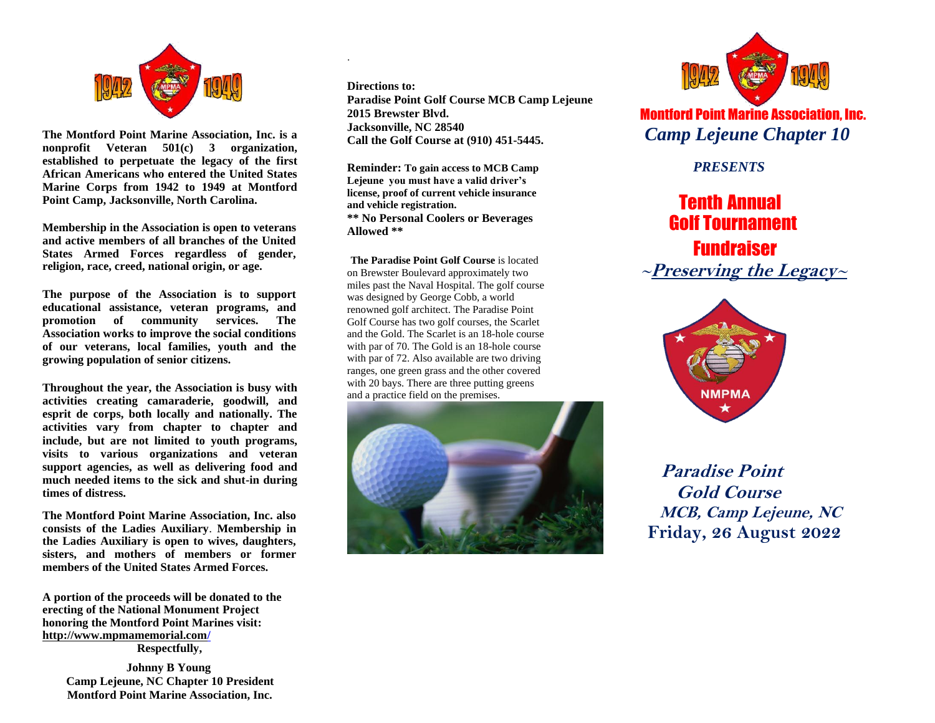

**The Montford Point Marine Association, Inc. is a nonprofit Veteran 501(c) 3 organization, established to perpetuate the legacy of the first African Americans who entered the United States Marine Corps from 1942 to 1949 at Montford Point Camp, Jacksonville, North Carolina.**

**Membership in the Association is open to veterans and active members of all branches of the United States Armed Forces regardless of gender, religion, race, creed, national origin, or age.**

**The purpose of the Association is to support educational assistance, veteran programs, and promotion of community services. The Association works to improve the social conditions of our veterans, local families, youth and the growing population of senior citizens.**

**Throughout the year, the Association is busy with activities creating camaraderie, goodwill, and esprit de corps, both locally and nationally. The activities vary from chapter to chapter and include, but are not limited to youth programs, visits to various organizations and veteran support agencies, as well as delivering food and much needed items to the sick and shut-in during times of distress.**

**The Montford Point Marine Association, Inc. also consists of the Ladies Auxiliary**. **Membership in the Ladies Auxiliary is open to wives, daughters, sisters, and mothers of members or former members of the United States Armed Forces.**

**A portion of the proceeds will be donated to the erecting of the National Monument Project honoring the Montford Point Marines visit: http://www.mpmamemorial.com/ Respectfully,**

> **Johnny B Young Camp Lejeune, NC Chapter 10 President Montford Point Marine Association, Inc.**

**Directions to: Paradise Point Golf Course MCB Camp Lejeune 2015 Brewster Blvd. Jacksonville, NC 28540 Call the Golf Course at (910) 451-5445.**

**Reminder: To gain access to MCB Camp Lejeune you must have a valid driver's license, proof of current vehicle insurance and vehicle registration. \*\* No Personal Coolers or Beverages Allowed \*\***

.

**The Paradise Point Golf Course** is located on Brewster Boulevard approximately two miles past the Naval Hospital. The golf course was designed by George Cobb, a world renowned golf architect. The Paradise Point Golf Course has two golf courses, the Scarlet and the Gold. The Scarlet is an 18-hole course with par of 70. The Gold is an 18-hole course with par of 72. Also available are two driving ranges, one green grass and the other covered with 20 bays. There are three putting greens and a practice field on the premises.





Montford Point Marine Association, Inc. *Camp Lejeune Chapter 10*

 *PRESENTS*

# Tenth Annual Golf Tournament

 Fundraiser **<sup>~</sup>Preserving the Legacy<sup>~</sup>**



**Paradise Point Gold Course MCB, Camp Lejeune, NC Friday, 26 August 2022**